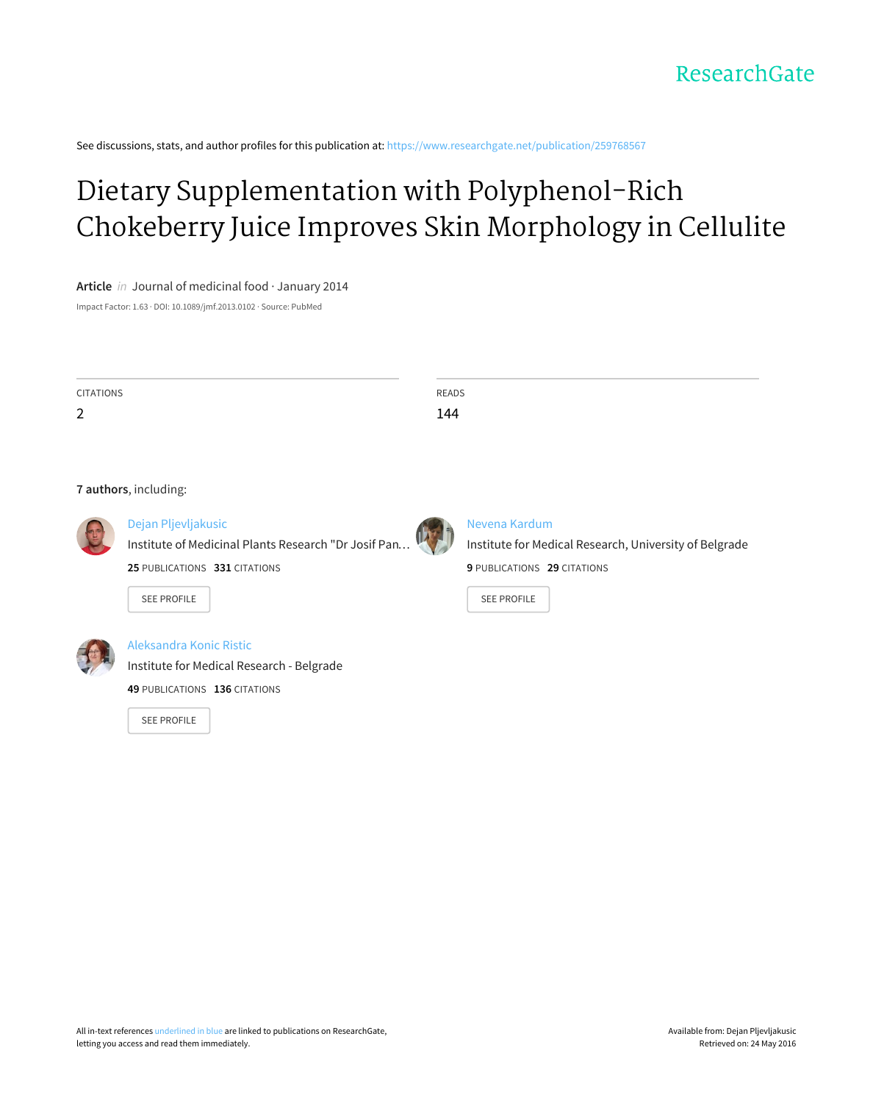See discussions, stats, and author profiles for this publication at: [https://www.researchgate.net/publication/259768567](https://www.researchgate.net/publication/259768567_Dietary_Supplementation_with_Polyphenol-Rich_Chokeberry_Juice_Improves_Skin_Morphology_in_Cellulite?enrichId=rgreq-1edaf7a3-b09d-4447-9512-5d2022e5c822&enrichSource=Y292ZXJQYWdlOzI1OTc2ODU2NztBUzoxNzIwMTU1MTIyMDMyNzNAMTQxODAyMzEwMjc3NQ%3D%3D&el=1_x_2)

# Dietary [Supplementation](https://www.researchgate.net/publication/259768567_Dietary_Supplementation_with_Polyphenol-Rich_Chokeberry_Juice_Improves_Skin_Morphology_in_Cellulite?enrichId=rgreq-1edaf7a3-b09d-4447-9512-5d2022e5c822&enrichSource=Y292ZXJQYWdlOzI1OTc2ODU2NztBUzoxNzIwMTU1MTIyMDMyNzNAMTQxODAyMzEwMjc3NQ%3D%3D&el=1_x_3) with Polyphenol-Rich Chokeberry Juice Improves Skin Morphology in Cellulite

# **Article** in Journal of medicinal food · January 2014

Impact Factor: 1.63 · DOI: 10.1089/jmf.2013.0102 · Source: PubMed

| CITATIONS                                    | READS |
|----------------------------------------------|-------|
| 2                                            | 144   |
|                                              |       |
|                                              |       |
|                                              |       |
| the complete state of the state of the state |       |

#### **7 authors**, including:



# Dejan [Pljevljakusic](https://www.researchgate.net/profile/Dejan_Pljevljakusic?enrichId=rgreq-1edaf7a3-b09d-4447-9512-5d2022e5c822&enrichSource=Y292ZXJQYWdlOzI1OTc2ODU2NztBUzoxNzIwMTU1MTIyMDMyNzNAMTQxODAyMzEwMjc3NQ%3D%3D&el=1_x_5) Institute of [Medicinal](https://www.researchgate.net/institution/Institute_of_Medicinal_Plants_Research_Dr_Josif_Pancic?enrichId=rgreq-1edaf7a3-b09d-4447-9512-5d2022e5c822&enrichSource=Y292ZXJQYWdlOzI1OTc2ODU2NztBUzoxNzIwMTU1MTIyMDMyNzNAMTQxODAyMzEwMjc3NQ%3D%3D&el=1_x_6) Plants Research "Dr Josif Pan…

SEE [PROFILE](https://www.researchgate.net/profile/Dejan_Pljevljakusic?enrichId=rgreq-1edaf7a3-b09d-4447-9512-5d2022e5c822&enrichSource=Y292ZXJQYWdlOzI1OTc2ODU2NztBUzoxNzIwMTU1MTIyMDMyNzNAMTQxODAyMzEwMjc3NQ%3D%3D&el=1_x_7)



# Nevena [Kardum](https://www.researchgate.net/profile/Nevena_Kardum?enrichId=rgreq-1edaf7a3-b09d-4447-9512-5d2022e5c822&enrichSource=Y292ZXJQYWdlOzI1OTc2ODU2NztBUzoxNzIwMTU1MTIyMDMyNzNAMTQxODAyMzEwMjc3NQ%3D%3D&el=1_x_5)

Institute for Medical Research, University of Belgrade **9** PUBLICATIONS **29** CITATIONS

SEE [PROFILE](https://www.researchgate.net/profile/Nevena_Kardum?enrichId=rgreq-1edaf7a3-b09d-4447-9512-5d2022e5c822&enrichSource=Y292ZXJQYWdlOzI1OTc2ODU2NztBUzoxNzIwMTU1MTIyMDMyNzNAMTQxODAyMzEwMjc3NQ%3D%3D&el=1_x_7)



# [Aleksandra](https://www.researchgate.net/profile/Aleksandra_Konic_Ristic?enrichId=rgreq-1edaf7a3-b09d-4447-9512-5d2022e5c822&enrichSource=Y292ZXJQYWdlOzI1OTc2ODU2NztBUzoxNzIwMTU1MTIyMDMyNzNAMTQxODAyMzEwMjc3NQ%3D%3D&el=1_x_5) Konic Ristic

Institute for Medical [Research](https://www.researchgate.net/institution/Institute_for_Medical_Research-Belgrade?enrichId=rgreq-1edaf7a3-b09d-4447-9512-5d2022e5c822&enrichSource=Y292ZXJQYWdlOzI1OTc2ODU2NztBUzoxNzIwMTU1MTIyMDMyNzNAMTQxODAyMzEwMjc3NQ%3D%3D&el=1_x_6) - Belgrade

**49** PUBLICATIONS **136** CITATIONS

**25** PUBLICATIONS **331** CITATIONS

SEE [PROFILE](https://www.researchgate.net/profile/Aleksandra_Konic_Ristic?enrichId=rgreq-1edaf7a3-b09d-4447-9512-5d2022e5c822&enrichSource=Y292ZXJQYWdlOzI1OTc2ODU2NztBUzoxNzIwMTU1MTIyMDMyNzNAMTQxODAyMzEwMjc3NQ%3D%3D&el=1_x_7)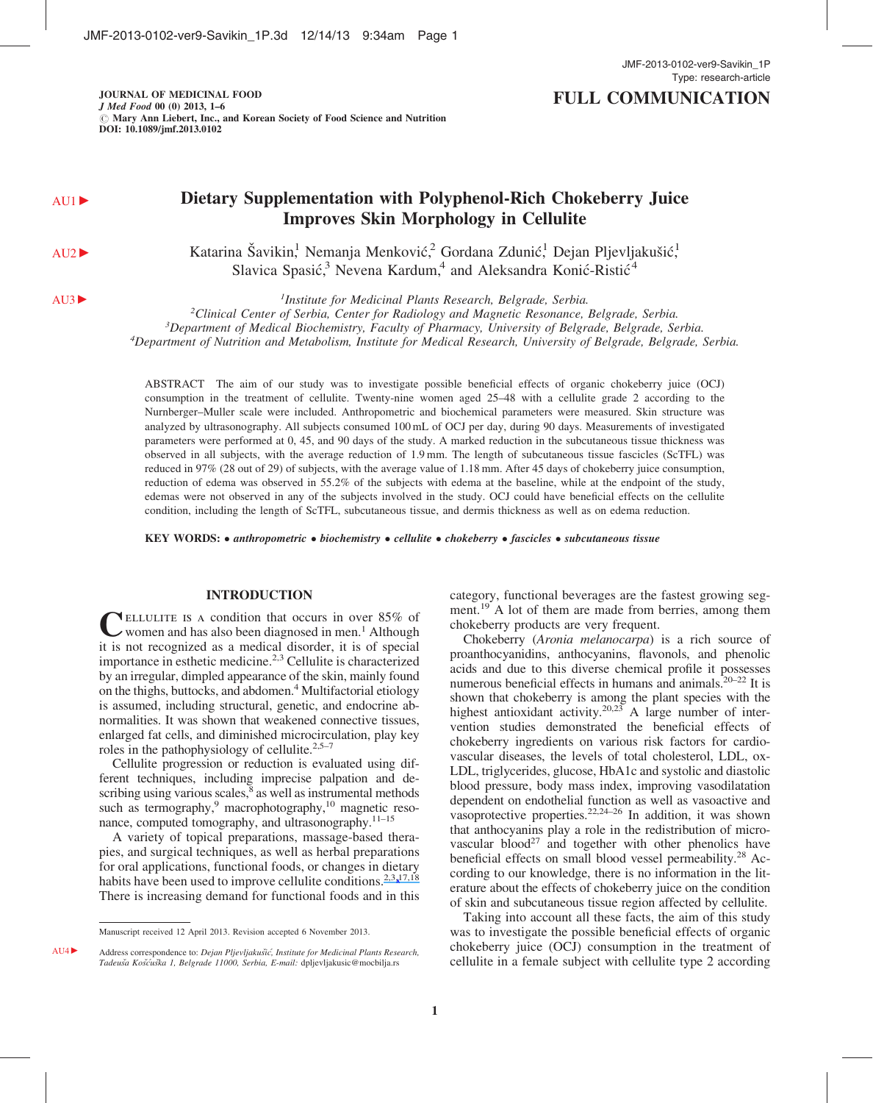JOURNAL OF MEDICINAL FOOD J Med Food 00 (0) 2013, 1–6  $\oslash$  Mary Ann Liebert, Inc., and Korean Society of Food Science and Nutrition DOI: 10.1089/jmf.2013.0102

# AU1 **Dietary Supplementation with Polyphenol-Rich Chokeberry Juice**

AU2 Katarina Šavikin, Nemanja Menković, Gordana Zdunić, Dejan Pljevljakušić, Slavica Spasić,<sup>3</sup> Nevena Kardum,<sup>4</sup> and Aleksandra Konić-Ristić<sup>4</sup>

Improves Skin Morphology in Cellulite

AU3 Muslim and *Institute for Medicinal Plants Research, Belgrade, Serbia.* Institute for Medicinal Plants Research, Belgrade, Serbia.<br><sup>2</sup>Clinical Center of Serbia, Center for Radiology and Magnetic Resonance.

<sup>2</sup>Clinical Center of Serbia, Center for Radiology and Magnetic Resonance, Belgrade, Serbia.<br><sup>3</sup>Department of Medical Biochemistry, Eaculty of Pharmacy, University of Belgrade, Belgrade, Se

 ${}^{3}$ Department of Medical Biochemistry, Faculty of Pharmacy, University of Belgrade, Belgrade, Serbia.

 $^4$ Department of Nutrition and Metabolism, Institute for Medical Research, University of Belgrade, Belgrade, Serbia.

ABSTRACT The aim of our study was to investigate possible beneficial effects of organic chokeberry juice (OCJ) consumption in the treatment of cellulite. Twenty-nine women aged 25–48 with a cellulite grade 2 according to the Nurnberger–Muller scale were included. Anthropometric and biochemical parameters were measured. Skin structure was analyzed by ultrasonography. All subjects consumed 100 mL of OCJ per day, during 90 days. Measurements of investigated parameters were performed at 0, 45, and 90 days of the study. A marked reduction in the subcutaneous tissue thickness was observed in all subjects, with the average reduction of 1.9 mm. The length of subcutaneous tissue fascicles (ScTFL) was reduced in 97% (28 out of 29) of subjects, with the average value of 1.18 mm. After 45 days of chokeberry juice consumption, reduction of edema was observed in 55.2% of the subjects with edema at the baseline, while at the endpoint of the study, edemas were not observed in any of the subjects involved in the study. OCJ could have beneficial effects on the cellulite condition, including the length of ScTFL, subcutaneous tissue, and dermis thickness as well as on edema reduction.

KEY WORDS: • anthropometric • biochemistry • cellulite • chokeberry • fascicles • subcutaneous tissue

#### INTRODUCTION

CELLULITE IS A condition that occurs in over 85% of women and has also been diagnosed in men.<sup>1</sup> Although it is not recognized as a medical disorder, it is of special importance in esthetic medicine.2,3 Cellulite is characterized by an irregular, dimpled appearance of the skin, mainly found on the thighs, buttocks, and abdomen.<sup>4</sup> Multifactorial etiology is assumed, including structural, genetic, and endocrine abnormalities. It was shown that weakened connective tissues, enlarged fat cells, and diminished microcirculation, play key roles in the pathophysiology of cellulite.<sup>2,5-7</sup>

Cellulite progression or reduction is evaluated using different techniques, including imprecise palpation and describing using various scales, $8$  as well as instrumental methods such as termography, $9 \text{ macrophotography},^{10} \text{magnetic reso-}$ nance, computed tomography, and ultrasonography.11–15

A variety of topical preparations, massage-based therapies, and surgical techniques, as well as herbal preparations for oral applications, functional foods, or changes in dietary habits have been used to improve cellulite conditions.  $2.3\frac{17,18}{8}$  $2.3\frac{17,18}{8}$  $2.3\frac{17,18}{8}$  $2.3\frac{17,18}{8}$ There is increasing demand for functional foods and in this

category, functional beverages are the fastest growing segment.<sup>19</sup> A lot of them are made from berries, among them chokeberry products are very frequent.

Chokeberry (Aronia melanocarpa) is a rich source of proanthocyanidins, anthocyanins, flavonols, and phenolic acids and due to this diverse chemical profile it possesses numerous beneficial effects in humans and animals.20–22 It is shown that chokeberry is among the plant species with the highest antioxidant activity.<sup>20,23</sup> A large number of intervention studies demonstrated the beneficial effects of chokeberry ingredients on various risk factors for cardiovascular diseases, the levels of total cholesterol, LDL, ox-LDL, triglycerides, glucose, HbA1c and systolic and diastolic blood pressure, body mass index, improving vasodilatation dependent on endothelial function as well as vasoactive and vasoprotective properties.<sup>22,24–26</sup> In addition, it was shown that anthocyanins play a role in the redistribution of microvascular blood<sup>27</sup> and together with other phenolics have beneficial effects on small blood vessel permeability.<sup>28</sup> According to our knowledge, there is no information in the literature about the effects of chokeberry juice on the condition of skin and subcutaneous tissue region affected by cellulite.

Taking into account all these facts, the aim of this study was to investigate the possible beneficial effects of organic chokeberry juice (OCJ) consumption in the treatment of cellulite in a female subject with cellulite type 2 according

Manuscript received 12 April 2013. Revision accepted 6 November 2013.

AU4 ► Address correspondence to: Dejan Pljevljakušić, Institute for Medicinal Plants Research, Tadeuša Košćuška 1, Belgrade 11000, Serbia, E-mail: dpljevljakusic@mocbilja.rs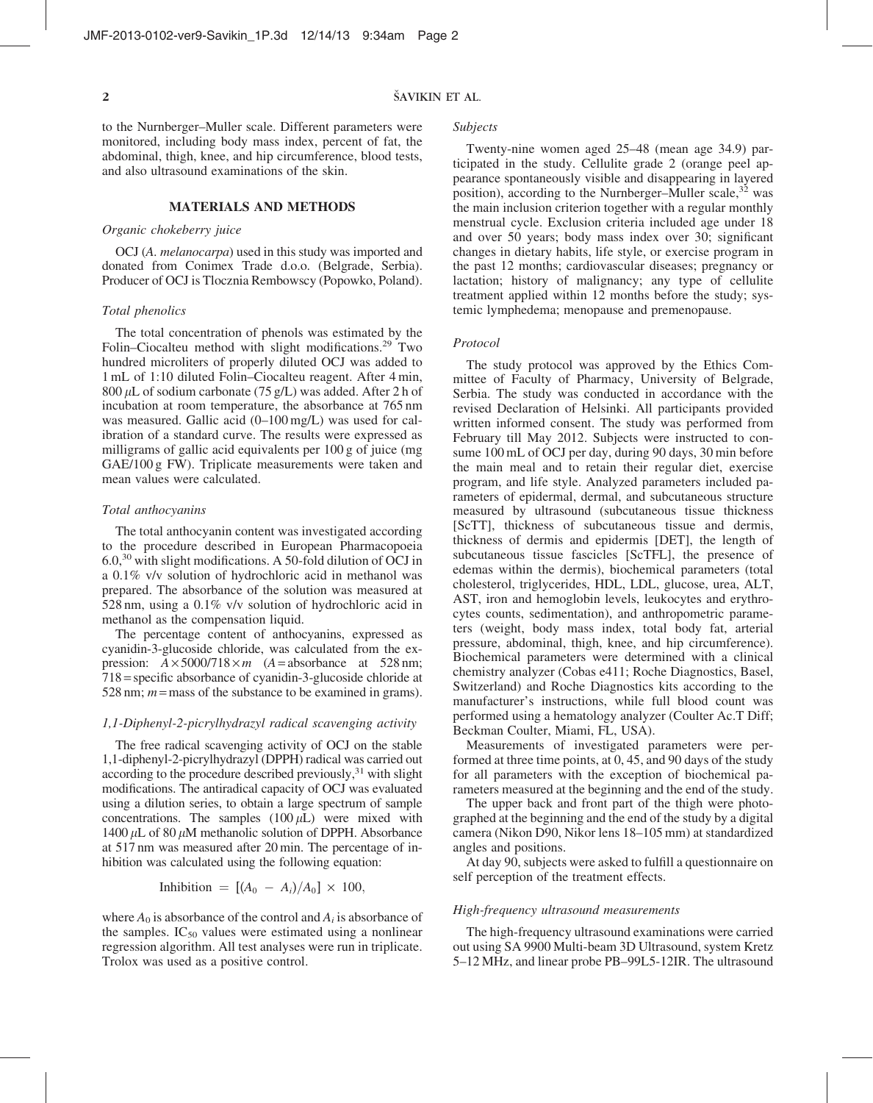## ŠAVIKIN ET AL.

to the Nurnberger–Muller scale. Different parameters were monitored, including body mass index, percent of fat, the abdominal, thigh, knee, and hip circumference, blood tests, and also ultrasound examinations of the skin.

## MATERIALS AND METHODS

#### Organic chokeberry juice

OCJ (A. melanocarpa) used in this study was imported and donated from Conimex Trade d.o.o. (Belgrade, Serbia). Producer of OCJ is Tlocznia Rembowscy (Popowko, Poland).

#### Total phenolics

The total concentration of phenols was estimated by the Folin–Ciocalteu method with slight modifications.<sup>29</sup> Two hundred microliters of properly diluted OCJ was added to 1 mL of 1:10 diluted Folin–Ciocalteu reagent. After 4 min, 800  $\mu$ L of sodium carbonate (75 g/L) was added. After 2 h of incubation at room temperature, the absorbance at 765 nm was measured. Gallic acid (0–100 mg/L) was used for calibration of a standard curve. The results were expressed as milligrams of gallic acid equivalents per 100 g of juice (mg GAE/100 g FW). Triplicate measurements were taken and mean values were calculated.

#### Total anthocyanins

The total anthocyanin content was investigated according to the procedure described in European Pharmacopoeia 6.0,<sup>30</sup> with slight modifications. A 50-fold dilution of OCJ in a 0.1% v/v solution of hydrochloric acid in methanol was prepared. The absorbance of the solution was measured at 528 nm, using a 0.1% v/v solution of hydrochloric acid in methanol as the compensation liquid.

The percentage content of anthocyanins, expressed as cyanidin-3-glucoside chloride, was calculated from the expression:  $A \times 5000/718 \times m$  (A = absorbance at 528 nm; 718 = specific absorbance of cyanidin-3-glucoside chloride at 528 nm;  $m =$  mass of the substance to be examined in grams).

#### 1,1-Diphenyl-2-picrylhydrazyl radical scavenging activity

The free radical scavenging activity of OCJ on the stable 1,1-diphenyl-2-picrylhydrazyl (DPPH) radical was carried out according to the procedure described previously,<sup>31</sup> with slight modifications. The antiradical capacity of OCJ was evaluated using a dilution series, to obtain a large spectrum of sample concentrations. The samples  $(100 \,\mu L)$  were mixed with 1400  $\mu$ L of 80  $\mu$ M methanolic solution of DPPH. Absorbance at 517 nm was measured after 20 min. The percentage of inhibition was calculated using the following equation:

Inhibition = 
$$
[(A_0 - A_i)/A_0] \times 100
$$
,

where  $A_0$  is absorbance of the control and  $A_i$  is absorbance of the samples.  $IC_{50}$  values were estimated using a nonlinear regression algorithm. All test analyses were run in triplicate. Trolox was used as a positive control.

Subjects

Twenty-nine women aged 25–48 (mean age 34.9) participated in the study. Cellulite grade 2 (orange peel appearance spontaneously visible and disappearing in layered position), according to the Nurnberger–Muller scale,  $32$  was the main inclusion criterion together with a regular monthly menstrual cycle. Exclusion criteria included age under 18 and over 50 years; body mass index over 30; significant changes in dietary habits, life style, or exercise program in the past 12 months; cardiovascular diseases; pregnancy or lactation; history of malignancy; any type of cellulite treatment applied within 12 months before the study; systemic lymphedema; menopause and premenopause.

#### Protocol

The study protocol was approved by the Ethics Committee of Faculty of Pharmacy, University of Belgrade, Serbia. The study was conducted in accordance with the revised Declaration of Helsinki. All participants provided written informed consent. The study was performed from February till May 2012. Subjects were instructed to consume 100 mL of OCJ per day, during 90 days, 30 min before the main meal and to retain their regular diet, exercise program, and life style. Analyzed parameters included parameters of epidermal, dermal, and subcutaneous structure measured by ultrasound (subcutaneous tissue thickness [ScTT], thickness of subcutaneous tissue and dermis, thickness of dermis and epidermis [DET], the length of subcutaneous tissue fascicles [ScTFL], the presence of edemas within the dermis), biochemical parameters (total cholesterol, triglycerides, HDL, LDL, glucose, urea, ALT, AST, iron and hemoglobin levels, leukocytes and erythrocytes counts, sedimentation), and anthropometric parameters (weight, body mass index, total body fat, arterial pressure, abdominal, thigh, knee, and hip circumference). Biochemical parameters were determined with a clinical chemistry analyzer (Cobas e411; Roche Diagnostics, Basel, Switzerland) and Roche Diagnostics kits according to the manufacturer's instructions, while full blood count was performed using a hematology analyzer (Coulter Ac.T Diff; Beckman Coulter, Miami, FL, USA).

Measurements of investigated parameters were performed at three time points, at 0, 45, and 90 days of the study for all parameters with the exception of biochemical parameters measured at the beginning and the end of the study.

The upper back and front part of the thigh were photographed at the beginning and the end of the study by a digital camera (Nikon D90, Nikor lens 18–105 mm) at standardized angles and positions.

At day 90, subjects were asked to fulfill a questionnaire on self perception of the treatment effects.

#### High-frequency ultrasound measurements

The high-frequency ultrasound examinations were carried out using SA 9900 Multi-beam 3D Ultrasound, system Kretz 5–12 MHz, and linear probe PB–99L5-12IR. The ultrasound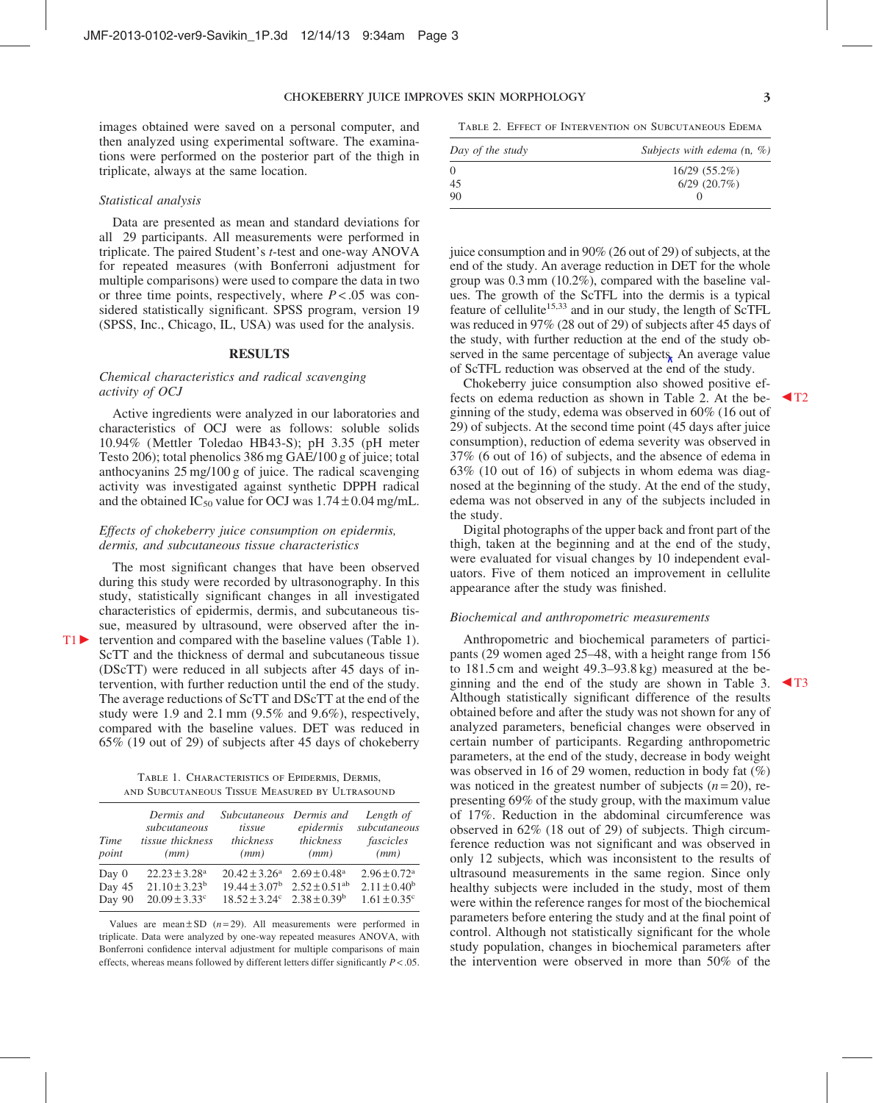images obtained were saved on a personal computer, and then analyzed using experimental software. The examinations were performed on the posterior part of the thigh in triplicate, always at the same location.

#### Statistical analysis

Data are presented as mean and standard deviations for all 29 participants. All measurements were performed in triplicate. The paired Student's t-test and one-way ANOVA for repeated measures (with Bonferroni adjustment for multiple comparisons) were used to compare the data in two or three time points, respectively, where  $P < .05$  was considered statistically significant. SPSS program, version 19 (SPSS, Inc., Chicago, IL, USA) was used for the analysis.

#### **RESULTS**

#### Chemical characteristics and radical scavenging activity of OCJ

Active ingredients were analyzed in our laboratories and characteristics of OCJ were as follows: soluble solids 10.94% (Mettler Toledao HB43-S); pH 3.35 (pH meter Testo 206); total phenolics 386 mg GAE/100 g of juice; total anthocyanins 25 mg/100 g of juice. The radical scavenging activity was investigated against synthetic DPPH radical and the obtained  $IC_{50}$  value for OCJ was  $1.74 \pm 0.04$  mg/mL.

#### Effects of chokeberry juice consumption on epidermis, dermis, and subcutaneous tissue characteristics

The most significant changes that have been observed during this study were recorded by ultrasonography. In this study, statistically significant changes in all investigated characteristics of epidermis, dermis, and subcutaneous tissue, measured by ultrasound, were observed after the in- $T1 \triangleright$  tervention and compared with the baseline values (Table 1). ScTT and the thickness of dermal and subcutaneous tissue

(DScTT) were reduced in all subjects after 45 days of intervention, with further reduction until the end of the study. The average reductions of ScTT and DScTT at the end of the study were 1.9 and 2.1 mm (9.5% and 9.6%), respectively, compared with the baseline values. DET was reduced in 65% (19 out of 29) of subjects after 45 days of chokeberry

Table 1. Characteristics of Epidermis, Dermis, and Subcutaneous Tissue Measured by Ultrasound

| Time<br>point | Dermis and<br>subcutaneous<br>tissue thickness<br>(mm) | <i>Subcutaneous</i><br>tissue<br>thickness<br>(mm) | Dermis and<br>epidermis<br>thickness<br>(mm) | Length of<br>subcutaneous<br>fascicles<br>(mm) |
|---------------|--------------------------------------------------------|----------------------------------------------------|----------------------------------------------|------------------------------------------------|
| Day $0$       | $22.23 \pm 3.28^a$                                     | $20.42 \pm 3.26^a$                                 | $2.69 \pm 0.48$ <sup>a</sup>                 | $2.96 \pm 0.72$ <sup>a</sup>                   |
| Day 45        | $21.10 \pm 3.23^b$                                     | $19.44 \pm 3.07^{\rm b}$ $2.52 \pm 0.51^{\rm ab}$  |                                              | $2.11 \pm 0.40^b$                              |
| Day 90        | $20.09 \pm 3.33$ <sup>c</sup>                          | $18.52 \pm 3.24^{\circ}$ $2.38 \pm 0.39^{\circ}$   |                                              | $1.61 \pm 0.35$ <sup>c</sup>                   |

Values are mean  $\pm$  SD ( $n = 29$ ). All measurements were performed in triplicate. Data were analyzed by one-way repeated measures ANOVA, with Bonferroni confidence interval adjustment for multiple comparisons of main effects, whereas means followed by different letters differ significantly  $P < .05$ .

Table 2. Effect of Intervention on Subcutaneous Edema

| Day of the study | Subjects with edema $(n, %)$ |  |  |
|------------------|------------------------------|--|--|
| 0                | $16/29(55.2\%)$              |  |  |
| 45               | $6/29$ $(20.7\%)$            |  |  |
| 90               |                              |  |  |

juice consumption and in 90% (26 out of 29) of subjects, at the end of the study. An average reduction in DET for the whole group was 0.3 mm (10.2%), compared with the baseline values. The growth of the ScTFL into the dermis is a typical feature of cellulite<sup>15,33</sup> and in our study, the length of ScTFL was reduced in 97% (28 out of 29) of subjects after 45 days of the study, with further reduction at the end of the study observed in the same percentage of subjects. An average value of ScTFL reduction was observed at the end of the study.

Chokeberry juice consumption also showed positive effects on edema reduction as shown in Table 2. At the be- $\blacktriangleleft$ T2 ginning of the study, edema was observed in 60% (16 out of 29) of subjects. At the second time point (45 days after juice consumption), reduction of edema severity was observed in 37% (6 out of 16) of subjects, and the absence of edema in 63% (10 out of 16) of subjects in whom edema was diagnosed at the beginning of the study. At the end of the study, edema was not observed in any of the subjects included in the study.

Digital photographs of the upper back and front part of the thigh, taken at the beginning and at the end of the study, were evaluated for visual changes by 10 independent evaluators. Five of them noticed an improvement in cellulite appearance after the study was finished.

#### Biochemical and anthropometric measurements

Anthropometric and biochemical parameters of participants (29 women aged 25–48, with a height range from 156 to 181.5 cm and weight 49.3–93.8 kg) measured at the beginning and the end of the study are shown in Table 3.  $\blacktriangleleft$  T3 Although statistically significant difference of the results obtained before and after the study was not shown for any of analyzed parameters, beneficial changes were observed in certain number of participants. Regarding anthropometric parameters, at the end of the study, decrease in body weight was observed in 16 of 29 women, reduction in body fat (%) was noticed in the greatest number of subjects  $(n=20)$ , representing 69% of the study group, with the maximum value of 17%. Reduction in the abdominal circumference was observed in 62% (18 out of 29) of subjects. Thigh circumference reduction was not significant and was observed in only 12 subjects, which was inconsistent to the results of ultrasound measurements in the same region. Since only healthy subjects were included in the study, most of them were within the reference ranges for most of the biochemical parameters before entering the study and at the final point of control. Although not statistically significant for the whole study population, changes in biochemical parameters after the intervention were observed in more than 50% of the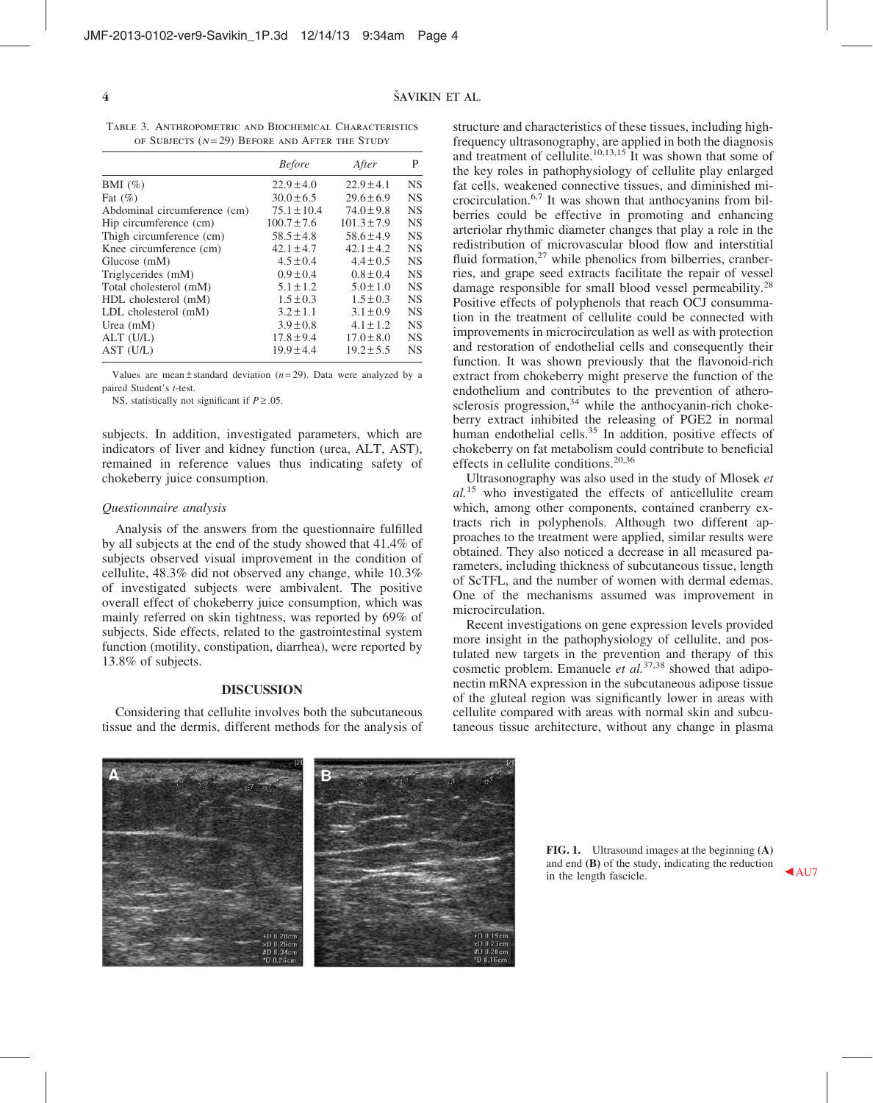#### $4 \overline{\phantom{a}}$ ŠAVIKIN ET AL.

Table 3. Anthropometric and Biochemical Characteristics OF SUBJECTS  $(N=29)$  BEFORE AND AFTER THE STUDY

|                              | <b>Before</b>   | After           | P         |
|------------------------------|-----------------|-----------------|-----------|
| BMI $(\%)$                   | $22.9 \pm 4.0$  | $22.9 \pm 4.1$  | <b>NS</b> |
| Fat $(\% )$                  | $30.0 \pm 6.5$  | $29.6 \pm 6.9$  | <b>NS</b> |
| Abdominal circumference (cm) | $75.1 \pm 10.4$ | $74.0 \pm 9.8$  | <b>NS</b> |
| Hip circumference (cm)       | $100.7 \pm 7.6$ | $101.3 \pm 7.9$ | <b>NS</b> |
| Thigh circumference (cm)     | $58.5 \pm 4.8$  | $58.6 \pm 4.9$  | <b>NS</b> |
| Knee circumference (cm)      | $42.1 \pm 4.7$  | $42.1 \pm 4.2$  | <b>NS</b> |
| Glucose (mM)                 | $4.5 \pm 0.4$   | $4.4 \pm 0.5$   | <b>NS</b> |
| Triglycerides (mM)           | $0.9 \pm 0.4$   | $0.8 \pm 0.4$   | <b>NS</b> |
| Total cholesterol (mM)       | $5.1 \pm 1.2$   | $5.0 \pm 1.0$   | <b>NS</b> |
| HDL cholesterol (mM)         | $1.5 \pm 0.3$   | $1.5 \pm 0.3$   | <b>NS</b> |
| LDL cholesterol (mM)         | $3.2 \pm 1.1$   | $3.1 \pm 0.9$   | <b>NS</b> |
| Urea $(mM)$                  | $3.9 \pm 0.8$   | $4.1 \pm 1.2$   | <b>NS</b> |
| $ALT$ (U/L)                  | $17.8 \pm 9.4$  | $17.0 \pm 8.0$  | <b>NS</b> |
| AST (U/L)                    | $19.9 \pm 4.4$  | $19.2 \pm 5.5$  | <b>NS</b> |

Values are mean  $\pm$  standard deviation ( $n = 29$ ). Data were analyzed by a paired Student's t-test.

NS, statistically not significant if  $P \ge 0.05$ .

subjects. In addition, investigated parameters, which are indicators of liver and kidney function (urea, ALT, AST), remained in reference values thus indicating safety of chokeberry juice consumption.

#### Questionnaire analysis

Analysis of the answers from the questionnaire fulfilled by all subjects at the end of the study showed that 41.4% of subjects observed visual improvement in the condition of cellulite, 48.3% did not observed any change, while 10.3% of investigated subjects were ambivalent. The positive overall effect of chokeberry juice consumption, which was mainly referred on skin tightness, was reported by 69% of subjects. Side effects, related to the gastrointestinal system function (motility, constipation, diarrhea), were reported by 13.8% of subjects.

#### DISCUSSION

Considering that cellulite involves both the subcutaneous tissue and the dermis, different methods for the analysis of structure and characteristics of these tissues, including highfrequency ultrasonography, are applied in both the diagnosis and treatment of cellulite.<sup>10,13,15</sup> It was shown that some of the key roles in pathophysiology of cellulite play enlarged fat cells, weakened connective tissues, and diminished microcirculation.6,7 It was shown that anthocyanins from bilberries could be effective in promoting and enhancing arteriolar rhythmic diameter changes that play a role in the redistribution of microvascular blood flow and interstitial fluid formation, $27$  while phenolics from bilberries, cranberries, and grape seed extracts facilitate the repair of vessel damage responsible for small blood vessel permeability.<sup>28</sup> Positive effects of polyphenols that reach OCJ consummation in the treatment of cellulite could be connected with improvements in microcirculation as well as with protection and restoration of endothelial cells and consequently their function. It was shown previously that the flavonoid-rich extract from chokeberry might preserve the function of the endothelium and contributes to the prevention of atherosclerosis progression,<sup>34</sup> while the anthocyanin-rich chokeberry extract inhibited the releasing of PGE2 in normal human endothelial cells.<sup>35</sup> In addition, positive effects of chokeberry on fat metabolism could contribute to beneficial effects in cellulite conditions. $20,36$ 

Ultrasonography was also used in the study of Mlosek et  $al^{15}$  who investigated the effects of anticellulite cream which, among other components, contained cranberry extracts rich in polyphenols. Although two different approaches to the treatment were applied, similar results were obtained. They also noticed a decrease in all measured parameters, including thickness of subcutaneous tissue, length of ScTFL, and the number of women with dermal edemas. One of the mechanisms assumed was improvement in microcirculation.

Recent investigations on gene expression levels provided more insight in the pathophysiology of cellulite, and postulated new targets in the prevention and therapy of this cosmetic problem. Emanuele *et al.*<sup>37,38</sup> showed that adiponectin mRNA expression in the subcutaneous adipose tissue of the gluteal region was significantly lower in areas with cellulite compared with areas with normal skin and subcutaneous tissue architecture, without any change in plasma



FIG. 1. Ultrasound images at the beginning (A) and end (B) of the study, indicating the reduction in the length fascicle.  $\triangle$  AU7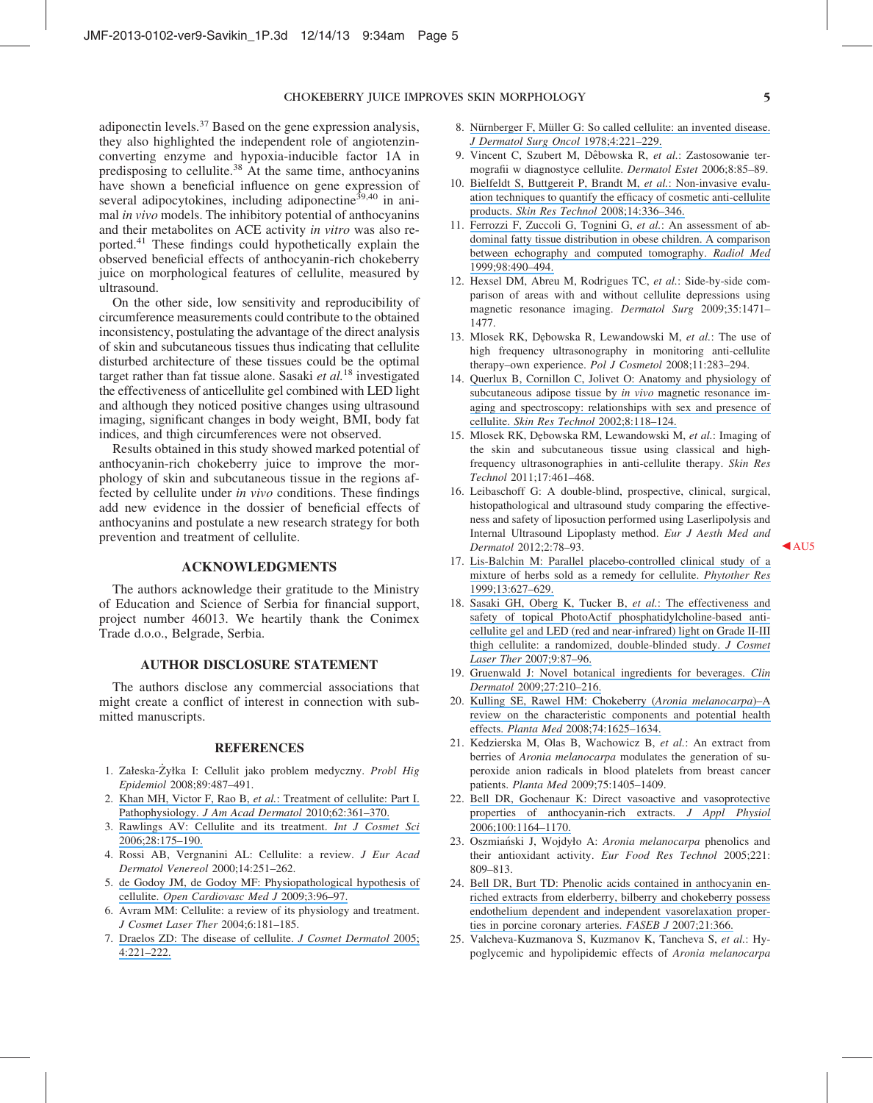#### CHOKEBERRY JUICE IMPROVES SKIN MORPHOLOGY 5

adiponectin levels. $37$  Based on the gene expression analysis, they also highlighted the independent role of angiotenzinconverting enzyme and hypoxia-inducible factor 1A in predisposing to cellulite.<sup>38</sup> At the same time, anthocyanins have shown a beneficial influence on gene expression of several adipocytokines, including adiponectine<sup>39,40</sup> in animal in vivo models. The inhibitory potential of anthocyanins and their metabolites on ACE activity in vitro was also reported.41 These findings could hypothetically explain the observed beneficial effects of anthocyanin-rich chokeberry juice on morphological features of cellulite, measured by ultrasound.

On the other side, low sensitivity and reproducibility of circumference measurements could contribute to the obtained inconsistency, postulating the advantage of the direct analysis of skin and subcutaneous tissues thus indicating that cellulite disturbed architecture of these tissues could be the optimal target rather than fat tissue alone. Sasaki et  $al$ .<sup>18</sup> investigated the effectiveness of anticellulite gel combined with LED light and although they noticed positive changes using ultrasound imaging, significant changes in body weight, BMI, body fat indices, and thigh circumferences were not observed.

Results obtained in this study showed marked potential of anthocyanin-rich chokeberry juice to improve the morphology of skin and subcutaneous tissue in the regions affected by cellulite under in vivo conditions. These findings add new evidence in the dossier of beneficial effects of anthocyanins and postulate a new research strategy for both prevention and treatment of cellulite.

#### ACKNOWLEDGMENTS

The authors acknowledge their gratitude to the Ministry of Education and Science of Serbia for financial support, project number 46013. We heartily thank the Conimex Trade d.o.o., Belgrade, Serbia.

#### AUTHOR DISCLOSURE STATEMENT

The authors disclose any commercial associations that might create a conflict of interest in connection with submitted manuscripts.

#### **REFERENCES**

- 1. Załeska-Żyłka I: Cellulit jako problem medyczny. Probl Hig Epidemiol 2008;89:487–491.
- 2. Khan MH, Victor F, Rao B, et al.[: Treatment of cellulite: Part I.](https://www.researchgate.net/publication/41451101_Treatment_of_cellulite_Part_I_Pathophysiology?el=1_x_8&enrichId=rgreq-1edaf7a3-b09d-4447-9512-5d2022e5c822&enrichSource=Y292ZXJQYWdlOzI1OTc2ODU2NztBUzoxNzIwMTU1MTIyMDMyNzNAMTQxODAyMzEwMjc3NQ==) Pathophysiology. [J Am Acad Dermatol](https://www.researchgate.net/publication/41451101_Treatment_of_cellulite_Part_I_Pathophysiology?el=1_x_8&enrichId=rgreq-1edaf7a3-b09d-4447-9512-5d2022e5c822&enrichSource=Y292ZXJQYWdlOzI1OTc2ODU2NztBUzoxNzIwMTU1MTIyMDMyNzNAMTQxODAyMzEwMjc3NQ==) 2010;62:361–370.
- 3. [Rawlings AV: Cellulite and its treatment.](https://www.researchgate.net/publication/5361751_Cellulite_its_treatment?el=1_x_8&enrichId=rgreq-1edaf7a3-b09d-4447-9512-5d2022e5c822&enrichSource=Y292ZXJQYWdlOzI1OTc2ODU2NztBUzoxNzIwMTU1MTIyMDMyNzNAMTQxODAyMzEwMjc3NQ==) Int J Cosmet Sci [2006;28:175–190.](https://www.researchgate.net/publication/5361751_Cellulite_its_treatment?el=1_x_8&enrichId=rgreq-1edaf7a3-b09d-4447-9512-5d2022e5c822&enrichSource=Y292ZXJQYWdlOzI1OTc2ODU2NztBUzoxNzIwMTU1MTIyMDMyNzNAMTQxODAyMzEwMjc3NQ==)
- 4. Rossi AB, Vergnanini AL: Cellulite: a review. J Eur Acad Dermatol Venereol 2000;14:251–262.
- 5. [de Godoy JM, de Godoy MF: Physiopathological hypothesis of](https://www.researchgate.net/publication/26813998_Physiopathological_Hypothesis_of_Cellulite?el=1_x_8&enrichId=rgreq-1edaf7a3-b09d-4447-9512-5d2022e5c822&enrichSource=Y292ZXJQYWdlOzI1OTc2ODU2NztBUzoxNzIwMTU1MTIyMDMyNzNAMTQxODAyMzEwMjc3NQ==) cellulite. [Open Cardiovasc Med J](https://www.researchgate.net/publication/26813998_Physiopathological_Hypothesis_of_Cellulite?el=1_x_8&enrichId=rgreq-1edaf7a3-b09d-4447-9512-5d2022e5c822&enrichSource=Y292ZXJQYWdlOzI1OTc2ODU2NztBUzoxNzIwMTU1MTIyMDMyNzNAMTQxODAyMzEwMjc3NQ==) 2009;3:96–97.
- 6. Avram MM: Cellulite: a review of its physiology and treatment. J Cosmet Laser Ther 2004;6:181–185.
- 7. [Draelos ZD: The disease of cellulite.](https://www.researchgate.net/publication/6630880_The_disease_of_cellulite?el=1_x_8&enrichId=rgreq-1edaf7a3-b09d-4447-9512-5d2022e5c822&enrichSource=Y292ZXJQYWdlOzI1OTc2ODU2NztBUzoxNzIwMTU1MTIyMDMyNzNAMTQxODAyMzEwMjc3NQ==) J Cosmet Dermatol 2005; [4:221–222.](https://www.researchgate.net/publication/6630880_The_disease_of_cellulite?el=1_x_8&enrichId=rgreq-1edaf7a3-b09d-4447-9512-5d2022e5c822&enrichSource=Y292ZXJQYWdlOzI1OTc2ODU2NztBUzoxNzIwMTU1MTIyMDMyNzNAMTQxODAyMzEwMjc3NQ==)
- 8. Nürnberger F, Müller G: So called cellulite: an invented disease. [J Dermatol Surg Oncol](https://www.researchgate.net/publication/22510693_So-Called_Cellulite_An_Invented_Disease?el=1_x_8&enrichId=rgreq-1edaf7a3-b09d-4447-9512-5d2022e5c822&enrichSource=Y292ZXJQYWdlOzI1OTc2ODU2NztBUzoxNzIwMTU1MTIyMDMyNzNAMTQxODAyMzEwMjc3NQ==) 1978;4:221–229.
- 9. Vincent C, Szubert M, Dêbowska R, et al.: Zastosowanie termografii w diagnostyce cellulite. Dermatol Estet 2006;8:85–89.
- 10. [Bielfeldt S, Buttgereit P, Brandt M,](https://www.researchgate.net/publication/23807964_Non-invasive_evaluation_techniques_to_quantify_the_efficacy_of_cosmetic_anti-cellulite_products?el=1_x_8&enrichId=rgreq-1edaf7a3-b09d-4447-9512-5d2022e5c822&enrichSource=Y292ZXJQYWdlOzI1OTc2ODU2NztBUzoxNzIwMTU1MTIyMDMyNzNAMTQxODAyMzEwMjc3NQ==) et al.: Non-invasive evalu[ation techniques to quantify the efficacy of cosmetic anti-cellulite](https://www.researchgate.net/publication/23807964_Non-invasive_evaluation_techniques_to_quantify_the_efficacy_of_cosmetic_anti-cellulite_products?el=1_x_8&enrichId=rgreq-1edaf7a3-b09d-4447-9512-5d2022e5c822&enrichSource=Y292ZXJQYWdlOzI1OTc2ODU2NztBUzoxNzIwMTU1MTIyMDMyNzNAMTQxODAyMzEwMjc3NQ==) products. Skin Res Technol [2008;14:336–346.](https://www.researchgate.net/publication/23807964_Non-invasive_evaluation_techniques_to_quantify_the_efficacy_of_cosmetic_anti-cellulite_products?el=1_x_8&enrichId=rgreq-1edaf7a3-b09d-4447-9512-5d2022e5c822&enrichSource=Y292ZXJQYWdlOzI1OTc2ODU2NztBUzoxNzIwMTU1MTIyMDMyNzNAMTQxODAyMzEwMjc3NQ==)
- 11. [Ferrozzi F, Zuccoli G, Tognini G,](https://www.researchgate.net/publication/12561420_An_assessment_of_abdominal_fatty_tissue_distribution_in_obese_children_A_comparison_between_echography_and_computed_tomography?el=1_x_8&enrichId=rgreq-1edaf7a3-b09d-4447-9512-5d2022e5c822&enrichSource=Y292ZXJQYWdlOzI1OTc2ODU2NztBUzoxNzIwMTU1MTIyMDMyNzNAMTQxODAyMzEwMjc3NQ==) et al.: An assessment of ab[dominal fatty tissue distribution in obese children. A comparison](https://www.researchgate.net/publication/12561420_An_assessment_of_abdominal_fatty_tissue_distribution_in_obese_children_A_comparison_between_echography_and_computed_tomography?el=1_x_8&enrichId=rgreq-1edaf7a3-b09d-4447-9512-5d2022e5c822&enrichSource=Y292ZXJQYWdlOzI1OTc2ODU2NztBUzoxNzIwMTU1MTIyMDMyNzNAMTQxODAyMzEwMjc3NQ==) [between echography and computed tomography.](https://www.researchgate.net/publication/12561420_An_assessment_of_abdominal_fatty_tissue_distribution_in_obese_children_A_comparison_between_echography_and_computed_tomography?el=1_x_8&enrichId=rgreq-1edaf7a3-b09d-4447-9512-5d2022e5c822&enrichSource=Y292ZXJQYWdlOzI1OTc2ODU2NztBUzoxNzIwMTU1MTIyMDMyNzNAMTQxODAyMzEwMjc3NQ==) Radiol Med [1999;98:490–494.](https://www.researchgate.net/publication/12561420_An_assessment_of_abdominal_fatty_tissue_distribution_in_obese_children_A_comparison_between_echography_and_computed_tomography?el=1_x_8&enrichId=rgreq-1edaf7a3-b09d-4447-9512-5d2022e5c822&enrichSource=Y292ZXJQYWdlOzI1OTc2ODU2NztBUzoxNzIwMTU1MTIyMDMyNzNAMTQxODAyMzEwMjc3NQ==)
- 12. Hexsel DM, Abreu M, Rodrigues TC, et al.: Side-by-side comparison of areas with and without cellulite depressions using magnetic resonance imaging. Dermatol Surg 2009;35:1471– 1477.
- 13. Mlosek RK, Dębowska R, Lewandowski M, et al.: The use of high frequency ultrasonography in monitoring anti-cellulite therapy–own experience. Pol J Cosmetol 2008;11:283–294.
- 14. [Querlux B, Cornillon C, Jolivet O: Anatomy and physiology of](https://www.researchgate.net/publication/11314741_Anatomy_and_physiology_of_subcutaneous_adipose_tissue_by_in_vivo_magnetic_resonance_imaging_and_spectroscopy_relationships_with_sex_and_presence_of_cellulite_Skin_Res_Technol_2118-124?el=1_x_8&enrichId=rgreq-1edaf7a3-b09d-4447-9512-5d2022e5c822&enrichSource=Y292ZXJQYWdlOzI1OTc2ODU2NztBUzoxNzIwMTU1MTIyMDMyNzNAMTQxODAyMzEwMjc3NQ==) [subcutaneous adipose tissue by](https://www.researchgate.net/publication/11314741_Anatomy_and_physiology_of_subcutaneous_adipose_tissue_by_in_vivo_magnetic_resonance_imaging_and_spectroscopy_relationships_with_sex_and_presence_of_cellulite_Skin_Res_Technol_2118-124?el=1_x_8&enrichId=rgreq-1edaf7a3-b09d-4447-9512-5d2022e5c822&enrichSource=Y292ZXJQYWdlOzI1OTc2ODU2NztBUzoxNzIwMTU1MTIyMDMyNzNAMTQxODAyMzEwMjc3NQ==) *in vivo* magnetic resonance im[aging and spectroscopy: relationships with sex and presence of](https://www.researchgate.net/publication/11314741_Anatomy_and_physiology_of_subcutaneous_adipose_tissue_by_in_vivo_magnetic_resonance_imaging_and_spectroscopy_relationships_with_sex_and_presence_of_cellulite_Skin_Res_Technol_2118-124?el=1_x_8&enrichId=rgreq-1edaf7a3-b09d-4447-9512-5d2022e5c822&enrichSource=Y292ZXJQYWdlOzI1OTc2ODU2NztBUzoxNzIwMTU1MTIyMDMyNzNAMTQxODAyMzEwMjc3NQ==) cellulite. [Skin Res Technol](https://www.researchgate.net/publication/11314741_Anatomy_and_physiology_of_subcutaneous_adipose_tissue_by_in_vivo_magnetic_resonance_imaging_and_spectroscopy_relationships_with_sex_and_presence_of_cellulite_Skin_Res_Technol_2118-124?el=1_x_8&enrichId=rgreq-1edaf7a3-b09d-4447-9512-5d2022e5c822&enrichSource=Y292ZXJQYWdlOzI1OTc2ODU2NztBUzoxNzIwMTU1MTIyMDMyNzNAMTQxODAyMzEwMjc3NQ==) 2002;8:118–124.
- 15. Mlosek RK, Dębowska RM, Lewandowski M, et al.: Imaging of the skin and subcutaneous tissue using classical and highfrequency ultrasonographies in anti-cellulite therapy. Skin Res Technol 2011;17:461–468.
- 16. Leibaschoff G: A double-blind, prospective, clinical, surgical, histopathological and ultrasound study comparing the effectiveness and safety of liposuction performed using Laserlipolysis and Internal Ultrasound Lipoplasty method. Eur J Aesth Med and Dermatol 2012;2:78–93. AU5
- 17. [Lis-Balchin M: Parallel placebo-controlled clinical study of a](https://www.researchgate.net/publication/12751646_Parallel_placebo-controlled_clinical_study_of_a_mixture_of_herbs_sold_as_a_remedy_for_cellulite?el=1_x_8&enrichId=rgreq-1edaf7a3-b09d-4447-9512-5d2022e5c822&enrichSource=Y292ZXJQYWdlOzI1OTc2ODU2NztBUzoxNzIwMTU1MTIyMDMyNzNAMTQxODAyMzEwMjc3NQ==) [mixture of herbs sold as a remedy for cellulite.](https://www.researchgate.net/publication/12751646_Parallel_placebo-controlled_clinical_study_of_a_mixture_of_herbs_sold_as_a_remedy_for_cellulite?el=1_x_8&enrichId=rgreq-1edaf7a3-b09d-4447-9512-5d2022e5c822&enrichSource=Y292ZXJQYWdlOzI1OTc2ODU2NztBUzoxNzIwMTU1MTIyMDMyNzNAMTQxODAyMzEwMjc3NQ==) Phytother Res [1999;13:627–629.](https://www.researchgate.net/publication/12751646_Parallel_placebo-controlled_clinical_study_of_a_mixture_of_herbs_sold_as_a_remedy_for_cellulite?el=1_x_8&enrichId=rgreq-1edaf7a3-b09d-4447-9512-5d2022e5c822&enrichSource=Y292ZXJQYWdlOzI1OTc2ODU2NztBUzoxNzIwMTU1MTIyMDMyNzNAMTQxODAyMzEwMjc3NQ==)
- 18. [Sasaki GH, Oberg K, Tucker B,](https://www.researchgate.net/publication/6277661_The_effectiveness_and_safety_of_topical_PhotoActif_phosphatidylcholine-based_anti-cellulite_gel_and_LED_red_and_near-infrared_light_on_Grade_II-III_thigh_cellulite_A_randomized_double-blinded_study?el=1_x_8&enrichId=rgreq-1edaf7a3-b09d-4447-9512-5d2022e5c822&enrichSource=Y292ZXJQYWdlOzI1OTc2ODU2NztBUzoxNzIwMTU1MTIyMDMyNzNAMTQxODAyMzEwMjc3NQ==) et al.: The effectiveness and [safety of topical PhotoActif phosphatidylcholine-based anti](https://www.researchgate.net/publication/6277661_The_effectiveness_and_safety_of_topical_PhotoActif_phosphatidylcholine-based_anti-cellulite_gel_and_LED_red_and_near-infrared_light_on_Grade_II-III_thigh_cellulite_A_randomized_double-blinded_study?el=1_x_8&enrichId=rgreq-1edaf7a3-b09d-4447-9512-5d2022e5c822&enrichSource=Y292ZXJQYWdlOzI1OTc2ODU2NztBUzoxNzIwMTU1MTIyMDMyNzNAMTQxODAyMzEwMjc3NQ==)[cellulite gel and LED \(red and near-infrared\) light on Grade II-III](https://www.researchgate.net/publication/6277661_The_effectiveness_and_safety_of_topical_PhotoActif_phosphatidylcholine-based_anti-cellulite_gel_and_LED_red_and_near-infrared_light_on_Grade_II-III_thigh_cellulite_A_randomized_double-blinded_study?el=1_x_8&enrichId=rgreq-1edaf7a3-b09d-4447-9512-5d2022e5c822&enrichSource=Y292ZXJQYWdlOzI1OTc2ODU2NztBUzoxNzIwMTU1MTIyMDMyNzNAMTQxODAyMzEwMjc3NQ==) [thigh cellulite: a randomized, double-blinded study.](https://www.researchgate.net/publication/6277661_The_effectiveness_and_safety_of_topical_PhotoActif_phosphatidylcholine-based_anti-cellulite_gel_and_LED_red_and_near-infrared_light_on_Grade_II-III_thigh_cellulite_A_randomized_double-blinded_study?el=1_x_8&enrichId=rgreq-1edaf7a3-b09d-4447-9512-5d2022e5c822&enrichSource=Y292ZXJQYWdlOzI1OTc2ODU2NztBUzoxNzIwMTU1MTIyMDMyNzNAMTQxODAyMzEwMjc3NQ==) J Cosmet Laser Ther [2007;9:87–96.](https://www.researchgate.net/publication/6277661_The_effectiveness_and_safety_of_topical_PhotoActif_phosphatidylcholine-based_anti-cellulite_gel_and_LED_red_and_near-infrared_light_on_Grade_II-III_thigh_cellulite_A_randomized_double-blinded_study?el=1_x_8&enrichId=rgreq-1edaf7a3-b09d-4447-9512-5d2022e5c822&enrichSource=Y292ZXJQYWdlOzI1OTc2ODU2NztBUzoxNzIwMTU1MTIyMDMyNzNAMTQxODAyMzEwMjc3NQ==)
- 19. [Gruenwald J: Novel botanical ingredients for beverages.](https://www.researchgate.net/publication/23938314_Novel_botanical_ingredients_for_beverages?el=1_x_8&enrichId=rgreq-1edaf7a3-b09d-4447-9512-5d2022e5c822&enrichSource=Y292ZXJQYWdlOzI1OTc2ODU2NztBUzoxNzIwMTU1MTIyMDMyNzNAMTQxODAyMzEwMjc3NQ==) Clin Dermatol [2009;27:210–216.](https://www.researchgate.net/publication/23938314_Novel_botanical_ingredients_for_beverages?el=1_x_8&enrichId=rgreq-1edaf7a3-b09d-4447-9512-5d2022e5c822&enrichSource=Y292ZXJQYWdlOzI1OTc2ODU2NztBUzoxNzIwMTU1MTIyMDMyNzNAMTQxODAyMzEwMjc3NQ==)
- 20. [Kulling SE, Rawel HM: Chokeberry \(](https://www.researchgate.net/publication/23401168_Chokeberry_Aronia_melanocarpa_-_A_Review_on_the_Characteristic_Components_and_Potential_Health_Effects?el=1_x_8&enrichId=rgreq-1edaf7a3-b09d-4447-9512-5d2022e5c822&enrichSource=Y292ZXJQYWdlOzI1OTc2ODU2NztBUzoxNzIwMTU1MTIyMDMyNzNAMTQxODAyMzEwMjc3NQ==)Aronia melanocarpa)–A [review on the characteristic components and potential health](https://www.researchgate.net/publication/23401168_Chokeberry_Aronia_melanocarpa_-_A_Review_on_the_Characteristic_Components_and_Potential_Health_Effects?el=1_x_8&enrichId=rgreq-1edaf7a3-b09d-4447-9512-5d2022e5c822&enrichSource=Y292ZXJQYWdlOzI1OTc2ODU2NztBUzoxNzIwMTU1MTIyMDMyNzNAMTQxODAyMzEwMjc3NQ==) effects. Planta Med [2008;74:1625–1634.](https://www.researchgate.net/publication/23401168_Chokeberry_Aronia_melanocarpa_-_A_Review_on_the_Characteristic_Components_and_Potential_Health_Effects?el=1_x_8&enrichId=rgreq-1edaf7a3-b09d-4447-9512-5d2022e5c822&enrichSource=Y292ZXJQYWdlOzI1OTc2ODU2NztBUzoxNzIwMTU1MTIyMDMyNzNAMTQxODAyMzEwMjc3NQ==)
- 21. Kedzierska M, Olas B, Wachowicz B, et al.: An extract from berries of Aronia melanocarpa modulates the generation of superoxide anion radicals in blood platelets from breast cancer patients. Planta Med 2009;75:1405–1409.
- 22. [Bell DR, Gochenaur K: Direct vasoactive and vasoprotective](https://www.researchgate.net/publication/7431094_Bell_D_Gochenaur_K_Direct_vasoactive_and_vasoprotective_properties_of_anthocyanin-rich_extracts_J_Appl_Phys_100_1164-1170?el=1_x_8&enrichId=rgreq-1edaf7a3-b09d-4447-9512-5d2022e5c822&enrichSource=Y292ZXJQYWdlOzI1OTc2ODU2NztBUzoxNzIwMTU1MTIyMDMyNzNAMTQxODAyMzEwMjc3NQ==) [properties of anthocyanin-rich extracts.](https://www.researchgate.net/publication/7431094_Bell_D_Gochenaur_K_Direct_vasoactive_and_vasoprotective_properties_of_anthocyanin-rich_extracts_J_Appl_Phys_100_1164-1170?el=1_x_8&enrichId=rgreq-1edaf7a3-b09d-4447-9512-5d2022e5c822&enrichSource=Y292ZXJQYWdlOzI1OTc2ODU2NztBUzoxNzIwMTU1MTIyMDMyNzNAMTQxODAyMzEwMjc3NQ==) J Appl Physiol [2006;100:1164–1170.](https://www.researchgate.net/publication/7431094_Bell_D_Gochenaur_K_Direct_vasoactive_and_vasoprotective_properties_of_anthocyanin-rich_extracts_J_Appl_Phys_100_1164-1170?el=1_x_8&enrichId=rgreq-1edaf7a3-b09d-4447-9512-5d2022e5c822&enrichSource=Y292ZXJQYWdlOzI1OTc2ODU2NztBUzoxNzIwMTU1MTIyMDMyNzNAMTQxODAyMzEwMjc3NQ==)
- 23. Oszmiański J, Wojdyło A: Aronia melanocarpa phenolics and their antioxidant activity. Eur Food Res Technol 2005;221: 809–813.
- 24. [Bell DR, Burt TD: Phenolic acids contained in anthocyanin en](https://www.researchgate.net/publication/284674730_Phenolic_acids_contained_in_anthocyanin_enriched_extracts_from_elderberry_bilberry_and_chokeberry_possess_endothelium_dependent_and_independent_vasorelaxation_properties_in_porcine_coronary_arteries?el=1_x_8&enrichId=rgreq-1edaf7a3-b09d-4447-9512-5d2022e5c822&enrichSource=Y292ZXJQYWdlOzI1OTc2ODU2NztBUzoxNzIwMTU1MTIyMDMyNzNAMTQxODAyMzEwMjc3NQ==)[riched extracts from elderberry, bilberry and chokeberry possess](https://www.researchgate.net/publication/284674730_Phenolic_acids_contained_in_anthocyanin_enriched_extracts_from_elderberry_bilberry_and_chokeberry_possess_endothelium_dependent_and_independent_vasorelaxation_properties_in_porcine_coronary_arteries?el=1_x_8&enrichId=rgreq-1edaf7a3-b09d-4447-9512-5d2022e5c822&enrichSource=Y292ZXJQYWdlOzI1OTc2ODU2NztBUzoxNzIwMTU1MTIyMDMyNzNAMTQxODAyMzEwMjc3NQ==) [endothelium dependent and independent vasorelaxation proper](https://www.researchgate.net/publication/284674730_Phenolic_acids_contained_in_anthocyanin_enriched_extracts_from_elderberry_bilberry_and_chokeberry_possess_endothelium_dependent_and_independent_vasorelaxation_properties_in_porcine_coronary_arteries?el=1_x_8&enrichId=rgreq-1edaf7a3-b09d-4447-9512-5d2022e5c822&enrichSource=Y292ZXJQYWdlOzI1OTc2ODU2NztBUzoxNzIwMTU1MTIyMDMyNzNAMTQxODAyMzEwMjc3NQ==)[ties in porcine coronary arteries.](https://www.researchgate.net/publication/284674730_Phenolic_acids_contained_in_anthocyanin_enriched_extracts_from_elderberry_bilberry_and_chokeberry_possess_endothelium_dependent_and_independent_vasorelaxation_properties_in_porcine_coronary_arteries?el=1_x_8&enrichId=rgreq-1edaf7a3-b09d-4447-9512-5d2022e5c822&enrichSource=Y292ZXJQYWdlOzI1OTc2ODU2NztBUzoxNzIwMTU1MTIyMDMyNzNAMTQxODAyMzEwMjc3NQ==) FASEB J 2007;21:366.
- 25. Valcheva-Kuzmanova S, Kuzmanov K, Tancheva S, et al.: Hypoglycemic and hypolipidemic effects of Aronia melanocarpa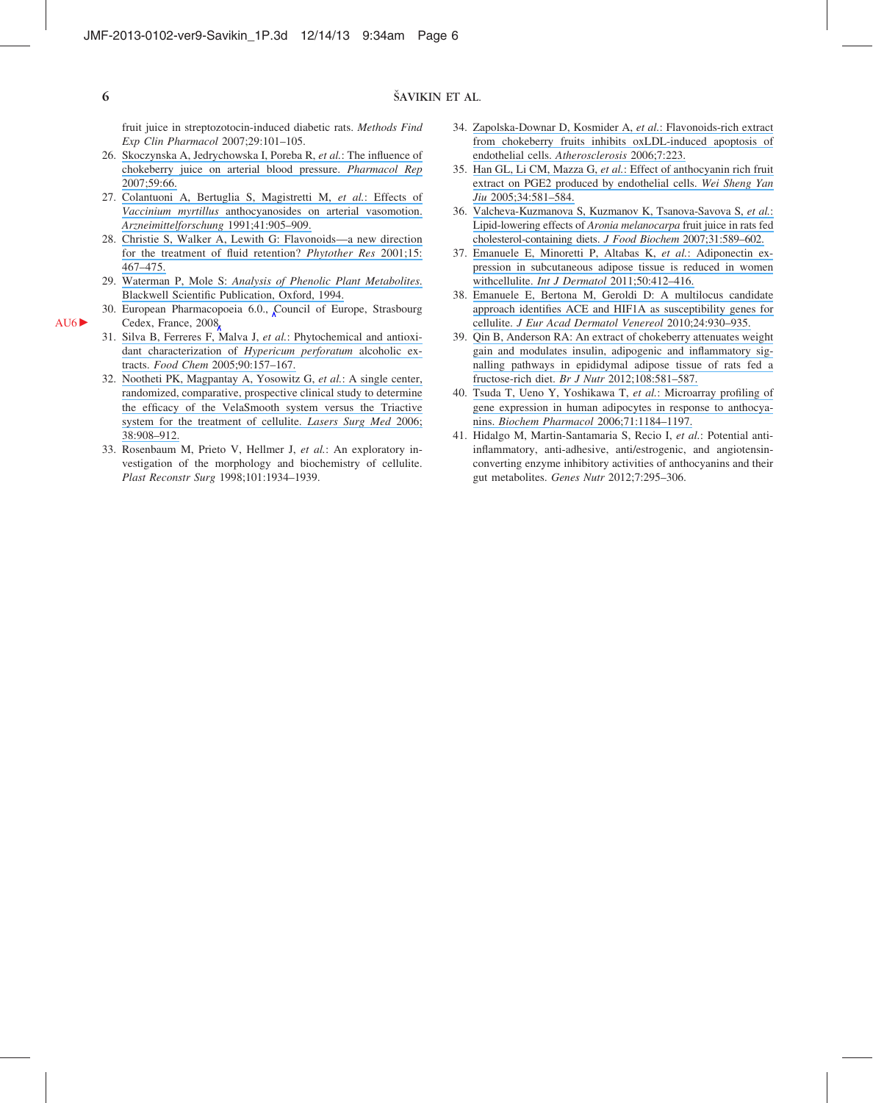# ŠAVIKIN ET AL.

fruit juice in streptozotocin-induced diabetic rats. Methods Find Exp Clin Pharmacol 2007;29:101–105.

- 26. [Skoczynska A, Jedrychowska I, Poreba R,](https://www.researchgate.net/publication/296792756_The_influence_of_chokeberry_juice_on_arterial_blood_pressure?el=1_x_8&enrichId=rgreq-1edaf7a3-b09d-4447-9512-5d2022e5c822&enrichSource=Y292ZXJQYWdlOzI1OTc2ODU2NztBUzoxNzIwMTU1MTIyMDMyNzNAMTQxODAyMzEwMjc3NQ==) et al.: The influence of [chokeberry juice on arterial blood pressure.](https://www.researchgate.net/publication/296792756_The_influence_of_chokeberry_juice_on_arterial_blood_pressure?el=1_x_8&enrichId=rgreq-1edaf7a3-b09d-4447-9512-5d2022e5c822&enrichSource=Y292ZXJQYWdlOzI1OTc2ODU2NztBUzoxNzIwMTU1MTIyMDMyNzNAMTQxODAyMzEwMjc3NQ==) Pharmacol Rep [2007;59:66.](https://www.researchgate.net/publication/296792756_The_influence_of_chokeberry_juice_on_arterial_blood_pressure?el=1_x_8&enrichId=rgreq-1edaf7a3-b09d-4447-9512-5d2022e5c822&enrichSource=Y292ZXJQYWdlOzI1OTc2ODU2NztBUzoxNzIwMTU1MTIyMDMyNzNAMTQxODAyMzEwMjc3NQ==)
- 27. [Colantuoni A, Bertuglia S, Magistretti M,](https://www.researchgate.net/publication/21358880_Effects_of_Vaccinium_Myrtillus_anthocyanosides_on_arterial_vasomotion?el=1_x_8&enrichId=rgreq-1edaf7a3-b09d-4447-9512-5d2022e5c822&enrichSource=Y292ZXJQYWdlOzI1OTc2ODU2NztBUzoxNzIwMTU1MTIyMDMyNzNAMTQxODAyMzEwMjc3NQ==) et al.: Effects of Vaccinium myrtillus [anthocyanosides on arterial vasomotion.](https://www.researchgate.net/publication/21358880_Effects_of_Vaccinium_Myrtillus_anthocyanosides_on_arterial_vasomotion?el=1_x_8&enrichId=rgreq-1edaf7a3-b09d-4447-9512-5d2022e5c822&enrichSource=Y292ZXJQYWdlOzI1OTc2ODU2NztBUzoxNzIwMTU1MTIyMDMyNzNAMTQxODAyMzEwMjc3NQ==) [Arzneimittelforschung](https://www.researchgate.net/publication/21358880_Effects_of_Vaccinium_Myrtillus_anthocyanosides_on_arterial_vasomotion?el=1_x_8&enrichId=rgreq-1edaf7a3-b09d-4447-9512-5d2022e5c822&enrichSource=Y292ZXJQYWdlOzI1OTc2ODU2NztBUzoxNzIwMTU1MTIyMDMyNzNAMTQxODAyMzEwMjc3NQ==) 1991;41:905–909.
- 28. [Christie S, Walker A, Lewith G: Flavonoids—a new direction](https://www.researchgate.net/publication/11810779_Flavonoids_-_A_new_direction_for_the_treatment_of_fluid_retention?el=1_x_8&enrichId=rgreq-1edaf7a3-b09d-4447-9512-5d2022e5c822&enrichSource=Y292ZXJQYWdlOzI1OTc2ODU2NztBUzoxNzIwMTU1MTIyMDMyNzNAMTQxODAyMzEwMjc3NQ==) [for the treatment of fluid retention?](https://www.researchgate.net/publication/11810779_Flavonoids_-_A_new_direction_for_the_treatment_of_fluid_retention?el=1_x_8&enrichId=rgreq-1edaf7a3-b09d-4447-9512-5d2022e5c822&enrichSource=Y292ZXJQYWdlOzI1OTc2ODU2NztBUzoxNzIwMTU1MTIyMDMyNzNAMTQxODAyMzEwMjc3NQ==) Phytother Res 2001;15: [467–475.](https://www.researchgate.net/publication/11810779_Flavonoids_-_A_new_direction_for_the_treatment_of_fluid_retention?el=1_x_8&enrichId=rgreq-1edaf7a3-b09d-4447-9512-5d2022e5c822&enrichSource=Y292ZXJQYWdlOzI1OTc2ODU2NztBUzoxNzIwMTU1MTIyMDMyNzNAMTQxODAyMzEwMjc3NQ==)
- 29. Waterman P, Mole S: [Analysis of Phenolic Plant Metabolites](https://www.researchgate.net/publication/275832431_Analysis_of_Phenolic_Plant_Metabolites?el=1_x_8&enrichId=rgreq-1edaf7a3-b09d-4447-9512-5d2022e5c822&enrichSource=Y292ZXJQYWdlOzI1OTc2ODU2NztBUzoxNzIwMTU1MTIyMDMyNzNAMTQxODAyMzEwMjc3NQ==). [Blackwell Scientific Publication, Oxford, 1994.](https://www.researchgate.net/publication/275832431_Analysis_of_Phenolic_Plant_Metabolites?el=1_x_8&enrichId=rgreq-1edaf7a3-b09d-4447-9512-5d2022e5c822&enrichSource=Y292ZXJQYWdlOzI1OTc2ODU2NztBUzoxNzIwMTU1MTIyMDMyNzNAMTQxODAyMzEwMjc3NQ==)
- 30. European Pharmacopoeia 6.0., Council of Europe, Strasbourg  $AU6$  Cedex, France, 2008.
	- 31. [Silva B, Ferreres F, Malva J,](https://www.researchgate.net/publication/222695988_Phytochemical_and_antioxidant_characterization_of_Hypericum_perforatum_alcoholic_extracts_Food_Chem?el=1_x_8&enrichId=rgreq-1edaf7a3-b09d-4447-9512-5d2022e5c822&enrichSource=Y292ZXJQYWdlOzI1OTc2ODU2NztBUzoxNzIwMTU1MTIyMDMyNzNAMTQxODAyMzEwMjc3NQ==) et al.: Phytochemical and antioxi[dant characterization of](https://www.researchgate.net/publication/222695988_Phytochemical_and_antioxidant_characterization_of_Hypericum_perforatum_alcoholic_extracts_Food_Chem?el=1_x_8&enrichId=rgreq-1edaf7a3-b09d-4447-9512-5d2022e5c822&enrichSource=Y292ZXJQYWdlOzI1OTc2ODU2NztBUzoxNzIwMTU1MTIyMDMyNzNAMTQxODAyMzEwMjc3NQ==) Hypericum perforatum alcoholic extracts. Food Chem [2005;90:157–167.](https://www.researchgate.net/publication/222695988_Phytochemical_and_antioxidant_characterization_of_Hypericum_perforatum_alcoholic_extracts_Food_Chem?el=1_x_8&enrichId=rgreq-1edaf7a3-b09d-4447-9512-5d2022e5c822&enrichSource=Y292ZXJQYWdlOzI1OTc2ODU2NztBUzoxNzIwMTU1MTIyMDMyNzNAMTQxODAyMzEwMjc3NQ==)
	- 32. [Nootheti PK, Magpantay A, Yosowitz G,](https://www.researchgate.net/publication/6637291_Nootheti_PK_Magpantay_A_Yosowitz_G_et_al_A_single_center_randomized_comparative_prospective_clinical_study_to_determine_the_efficacy_of_the_Velasmooth_system_versus_the_Triactive_system_for_the_treatm?el=1_x_8&enrichId=rgreq-1edaf7a3-b09d-4447-9512-5d2022e5c822&enrichSource=Y292ZXJQYWdlOzI1OTc2ODU2NztBUzoxNzIwMTU1MTIyMDMyNzNAMTQxODAyMzEwMjc3NQ==) et al.: A single center, [randomized, comparative, prospective clinical study to determine](https://www.researchgate.net/publication/6637291_Nootheti_PK_Magpantay_A_Yosowitz_G_et_al_A_single_center_randomized_comparative_prospective_clinical_study_to_determine_the_efficacy_of_the_Velasmooth_system_versus_the_Triactive_system_for_the_treatm?el=1_x_8&enrichId=rgreq-1edaf7a3-b09d-4447-9512-5d2022e5c822&enrichSource=Y292ZXJQYWdlOzI1OTc2ODU2NztBUzoxNzIwMTU1MTIyMDMyNzNAMTQxODAyMzEwMjc3NQ==) [the efficacy of the VelaSmooth system versus the Triactive](https://www.researchgate.net/publication/6637291_Nootheti_PK_Magpantay_A_Yosowitz_G_et_al_A_single_center_randomized_comparative_prospective_clinical_study_to_determine_the_efficacy_of_the_Velasmooth_system_versus_the_Triactive_system_for_the_treatm?el=1_x_8&enrichId=rgreq-1edaf7a3-b09d-4447-9512-5d2022e5c822&enrichSource=Y292ZXJQYWdlOzI1OTc2ODU2NztBUzoxNzIwMTU1MTIyMDMyNzNAMTQxODAyMzEwMjc3NQ==) [system for the treatment of cellulite.](https://www.researchgate.net/publication/6637291_Nootheti_PK_Magpantay_A_Yosowitz_G_et_al_A_single_center_randomized_comparative_prospective_clinical_study_to_determine_the_efficacy_of_the_Velasmooth_system_versus_the_Triactive_system_for_the_treatm?el=1_x_8&enrichId=rgreq-1edaf7a3-b09d-4447-9512-5d2022e5c822&enrichSource=Y292ZXJQYWdlOzI1OTc2ODU2NztBUzoxNzIwMTU1MTIyMDMyNzNAMTQxODAyMzEwMjc3NQ==) Lasers Surg Med 2006; [38:908–912.](https://www.researchgate.net/publication/6637291_Nootheti_PK_Magpantay_A_Yosowitz_G_et_al_A_single_center_randomized_comparative_prospective_clinical_study_to_determine_the_efficacy_of_the_Velasmooth_system_versus_the_Triactive_system_for_the_treatm?el=1_x_8&enrichId=rgreq-1edaf7a3-b09d-4447-9512-5d2022e5c822&enrichSource=Y292ZXJQYWdlOzI1OTc2ODU2NztBUzoxNzIwMTU1MTIyMDMyNzNAMTQxODAyMzEwMjc3NQ==)
	- 33. Rosenbaum M, Prieto V, Hellmer J, et al.: An exploratory investigation of the morphology and biochemistry of cellulite. Plast Reconstr Surg 1998;101:1934–1939.
- 34. [Zapolska-Downar D, Kosmider A,](https://www.researchgate.net/publication/246599251_TuP7174_Flavonoids-rich_extract_from_chokeberry_fruits_inhibits_oxLDL-induced_apoptosis_of_endothelial_cells?el=1_x_8&enrichId=rgreq-1edaf7a3-b09d-4447-9512-5d2022e5c822&enrichSource=Y292ZXJQYWdlOzI1OTc2ODU2NztBUzoxNzIwMTU1MTIyMDMyNzNAMTQxODAyMzEwMjc3NQ==) et al.: Flavonoids-rich extract [from chokeberry fruits inhibits oxLDL-induced apoptosis of](https://www.researchgate.net/publication/246599251_TuP7174_Flavonoids-rich_extract_from_chokeberry_fruits_inhibits_oxLDL-induced_apoptosis_of_endothelial_cells?el=1_x_8&enrichId=rgreq-1edaf7a3-b09d-4447-9512-5d2022e5c822&enrichSource=Y292ZXJQYWdlOzI1OTc2ODU2NztBUzoxNzIwMTU1MTIyMDMyNzNAMTQxODAyMzEwMjc3NQ==) [endothelial cells.](https://www.researchgate.net/publication/246599251_TuP7174_Flavonoids-rich_extract_from_chokeberry_fruits_inhibits_oxLDL-induced_apoptosis_of_endothelial_cells?el=1_x_8&enrichId=rgreq-1edaf7a3-b09d-4447-9512-5d2022e5c822&enrichSource=Y292ZXJQYWdlOzI1OTc2ODU2NztBUzoxNzIwMTU1MTIyMDMyNzNAMTQxODAyMzEwMjc3NQ==) Atherosclerosis 2006;7:223.
- 35. Han GL, Li CM, Mazza G, et al.[: Effect of anthocyanin rich fruit](https://www.researchgate.net/publication/7439151_Effect_of_anthocyanin_rich_fruit_extract_on_PGE2_produced_by_endothelial_cells?el=1_x_8&enrichId=rgreq-1edaf7a3-b09d-4447-9512-5d2022e5c822&enrichSource=Y292ZXJQYWdlOzI1OTc2ODU2NztBUzoxNzIwMTU1MTIyMDMyNzNAMTQxODAyMzEwMjc3NQ==) [extract on PGE2 produced by endothelial cells.](https://www.researchgate.net/publication/7439151_Effect_of_anthocyanin_rich_fruit_extract_on_PGE2_produced_by_endothelial_cells?el=1_x_8&enrichId=rgreq-1edaf7a3-b09d-4447-9512-5d2022e5c822&enrichSource=Y292ZXJQYWdlOzI1OTc2ODU2NztBUzoxNzIwMTU1MTIyMDMyNzNAMTQxODAyMzEwMjc3NQ==) Wei Sheng Yan Jiu [2005;34:581–584.](https://www.researchgate.net/publication/7439151_Effect_of_anthocyanin_rich_fruit_extract_on_PGE2_produced_by_endothelial_cells?el=1_x_8&enrichId=rgreq-1edaf7a3-b09d-4447-9512-5d2022e5c822&enrichSource=Y292ZXJQYWdlOzI1OTc2ODU2NztBUzoxNzIwMTU1MTIyMDMyNzNAMTQxODAyMzEwMjc3NQ==)
- 36. [Valcheva-Kuzmanova S, Kuzmanov K, Tsanova-Savova S,](https://www.researchgate.net/publication/229862549_Lipid-lowering_effects_of_aronia_melanocarpa_fruit_juice_in_rats_fed_cholesterol-containing_diets?el=1_x_8&enrichId=rgreq-1edaf7a3-b09d-4447-9512-5d2022e5c822&enrichSource=Y292ZXJQYWdlOzI1OTc2ODU2NztBUzoxNzIwMTU1MTIyMDMyNzNAMTQxODAyMzEwMjc3NQ==) et al.: [Lipid-lowering effects of](https://www.researchgate.net/publication/229862549_Lipid-lowering_effects_of_aronia_melanocarpa_fruit_juice_in_rats_fed_cholesterol-containing_diets?el=1_x_8&enrichId=rgreq-1edaf7a3-b09d-4447-9512-5d2022e5c822&enrichSource=Y292ZXJQYWdlOzI1OTc2ODU2NztBUzoxNzIwMTU1MTIyMDMyNzNAMTQxODAyMzEwMjc3NQ==) Aronia melanocarpa fruit juice in rats fed [cholesterol-containing diets.](https://www.researchgate.net/publication/229862549_Lipid-lowering_effects_of_aronia_melanocarpa_fruit_juice_in_rats_fed_cholesterol-containing_diets?el=1_x_8&enrichId=rgreq-1edaf7a3-b09d-4447-9512-5d2022e5c822&enrichSource=Y292ZXJQYWdlOzI1OTc2ODU2NztBUzoxNzIwMTU1MTIyMDMyNzNAMTQxODAyMzEwMjc3NQ==) J Food Biochem 2007;31:589-602.
- 37. [Emanuele E, Minoretti P, Altabas K,](https://www.researchgate.net/publication/50418764_Adiponectin_expression_in_subcutaneous_adipose_tissue_is_reduced_in_women_with_cellulite?el=1_x_8&enrichId=rgreq-1edaf7a3-b09d-4447-9512-5d2022e5c822&enrichSource=Y292ZXJQYWdlOzI1OTc2ODU2NztBUzoxNzIwMTU1MTIyMDMyNzNAMTQxODAyMzEwMjc3NQ==) et al.: Adiponectin ex[pression in subcutaneous adipose tissue is reduced in women](https://www.researchgate.net/publication/50418764_Adiponectin_expression_in_subcutaneous_adipose_tissue_is_reduced_in_women_with_cellulite?el=1_x_8&enrichId=rgreq-1edaf7a3-b09d-4447-9512-5d2022e5c822&enrichSource=Y292ZXJQYWdlOzI1OTc2ODU2NztBUzoxNzIwMTU1MTIyMDMyNzNAMTQxODAyMzEwMjc3NQ==) withcellulite. Int J Dermatol 2011;50:412-416.
- 38. [Emanuele E, Bertona M, Geroldi D: A multilocus candidate](https://www.researchgate.net/publication/40897455_A_multilocus_candidate_approach_identifies_ACE_and_HIF1A_as_susceptibility_genes_for_cellulite?el=1_x_8&enrichId=rgreq-1edaf7a3-b09d-4447-9512-5d2022e5c822&enrichSource=Y292ZXJQYWdlOzI1OTc2ODU2NztBUzoxNzIwMTU1MTIyMDMyNzNAMTQxODAyMzEwMjc3NQ==) [approach identifies ACE and HIF1A as susceptibility genes for](https://www.researchgate.net/publication/40897455_A_multilocus_candidate_approach_identifies_ACE_and_HIF1A_as_susceptibility_genes_for_cellulite?el=1_x_8&enrichId=rgreq-1edaf7a3-b09d-4447-9512-5d2022e5c822&enrichSource=Y292ZXJQYWdlOzI1OTc2ODU2NztBUzoxNzIwMTU1MTIyMDMyNzNAMTQxODAyMzEwMjc3NQ==) cellulite. [J Eur Acad Dermatol Venereol](https://www.researchgate.net/publication/40897455_A_multilocus_candidate_approach_identifies_ACE_and_HIF1A_as_susceptibility_genes_for_cellulite?el=1_x_8&enrichId=rgreq-1edaf7a3-b09d-4447-9512-5d2022e5c822&enrichSource=Y292ZXJQYWdlOzI1OTc2ODU2NztBUzoxNzIwMTU1MTIyMDMyNzNAMTQxODAyMzEwMjc3NQ==) 2010;24:930–935.
- 39. [Qin B, Anderson RA: An extract of chokeberry attenuates weight](https://www.researchgate.net/publication/51853605_An_extract_of_chokeberry_attenuates_weight_gain_and_modulates_insulin_adipogenic_and_inflammatory_signalling_pathways_in_epididymal_adipose_tissue_of_rats_fed_a_fructose-rich_diet?el=1_x_8&enrichId=rgreq-1edaf7a3-b09d-4447-9512-5d2022e5c822&enrichSource=Y292ZXJQYWdlOzI1OTc2ODU2NztBUzoxNzIwMTU1MTIyMDMyNzNAMTQxODAyMzEwMjc3NQ==) [gain and modulates insulin, adipogenic and inflammatory sig](https://www.researchgate.net/publication/51853605_An_extract_of_chokeberry_attenuates_weight_gain_and_modulates_insulin_adipogenic_and_inflammatory_signalling_pathways_in_epididymal_adipose_tissue_of_rats_fed_a_fructose-rich_diet?el=1_x_8&enrichId=rgreq-1edaf7a3-b09d-4447-9512-5d2022e5c822&enrichSource=Y292ZXJQYWdlOzI1OTc2ODU2NztBUzoxNzIwMTU1MTIyMDMyNzNAMTQxODAyMzEwMjc3NQ==)[nalling pathways in epididymal adipose tissue of rats fed a](https://www.researchgate.net/publication/51853605_An_extract_of_chokeberry_attenuates_weight_gain_and_modulates_insulin_adipogenic_and_inflammatory_signalling_pathways_in_epididymal_adipose_tissue_of_rats_fed_a_fructose-rich_diet?el=1_x_8&enrichId=rgreq-1edaf7a3-b09d-4447-9512-5d2022e5c822&enrichSource=Y292ZXJQYWdlOzI1OTc2ODU2NztBUzoxNzIwMTU1MTIyMDMyNzNAMTQxODAyMzEwMjc3NQ==) fructose-rich diet. Br J Nutr [2012;108:581–587.](https://www.researchgate.net/publication/51853605_An_extract_of_chokeberry_attenuates_weight_gain_and_modulates_insulin_adipogenic_and_inflammatory_signalling_pathways_in_epididymal_adipose_tissue_of_rats_fed_a_fructose-rich_diet?el=1_x_8&enrichId=rgreq-1edaf7a3-b09d-4447-9512-5d2022e5c822&enrichSource=Y292ZXJQYWdlOzI1OTc2ODU2NztBUzoxNzIwMTU1MTIyMDMyNzNAMTQxODAyMzEwMjc3NQ==)
- 40. [Tsuda T, Ueno Y, Yoshikawa T,](https://www.researchgate.net/publication/7292682_Microarray_profiling_of_gene_expression_in_human_adipocytes_in_response_to_anthocyanins?el=1_x_8&enrichId=rgreq-1edaf7a3-b09d-4447-9512-5d2022e5c822&enrichSource=Y292ZXJQYWdlOzI1OTc2ODU2NztBUzoxNzIwMTU1MTIyMDMyNzNAMTQxODAyMzEwMjc3NQ==) et al.: Microarray profiling of [gene expression in human adipocytes in response to anthocya](https://www.researchgate.net/publication/7292682_Microarray_profiling_of_gene_expression_in_human_adipocytes_in_response_to_anthocyanins?el=1_x_8&enrichId=rgreq-1edaf7a3-b09d-4447-9512-5d2022e5c822&enrichSource=Y292ZXJQYWdlOzI1OTc2ODU2NztBUzoxNzIwMTU1MTIyMDMyNzNAMTQxODAyMzEwMjc3NQ==)nins. Biochem Pharmacol [2006;71:1184–1197.](https://www.researchgate.net/publication/7292682_Microarray_profiling_of_gene_expression_in_human_adipocytes_in_response_to_anthocyanins?el=1_x_8&enrichId=rgreq-1edaf7a3-b09d-4447-9512-5d2022e5c822&enrichSource=Y292ZXJQYWdlOzI1OTc2ODU2NztBUzoxNzIwMTU1MTIyMDMyNzNAMTQxODAyMzEwMjc3NQ==)
- 41. Hidalgo M, Martin-Santamaria S, Recio I, et al.: Potential antiinflammatory, anti-adhesive, anti/estrogenic, and angiotensinconverting enzyme inhibitory activities of anthocyanins and their gut metabolites. Genes Nutr 2012;7:295-306.